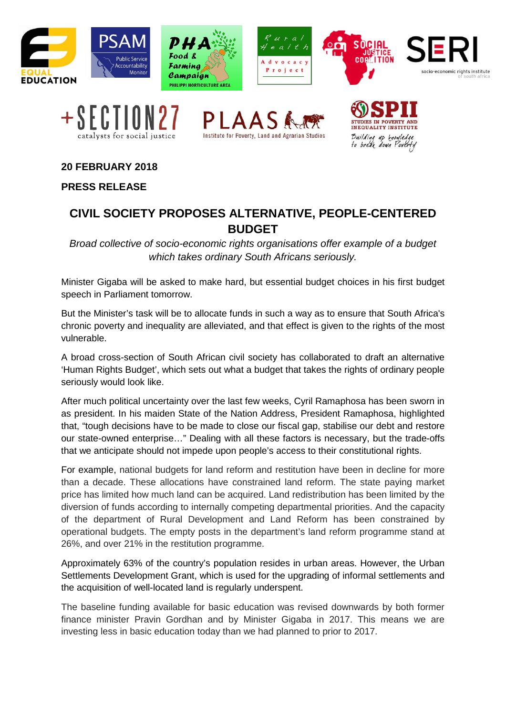













SOCIA

**20 FEBRUARY 2018**

**PRESS RELEASE**

## **CIVIL SOCIETY PROPOSES ALTERNATIVE, PEOPLE-CENTERED BUDGET**

*Broad collective of socio-economic rights organisations offer example of a budget which takes ordinary South Africans seriously.* 

Minister Gigaba will be asked to make hard, but essential budget choices in his first budget speech in Parliament tomorrow.

But the Minister's task will be to allocate funds in such a way as to ensure that South Africa's chronic poverty and inequality are alleviated, and that effect is given to the rights of the most vulnerable.

A broad cross-section of South African civil society has collaborated to draft an alternative 'Human Rights Budget', which sets out what a budget that takes the rights of ordinary people seriously would look like.

After much political uncertainty over the last few weeks, Cyril Ramaphosa has been sworn in as president. In his maiden State of the Nation Address, President Ramaphosa, highlighted that, "tough decisions have to be made to close our fiscal gap, stabilise our debt and restore our state-owned enterprise…" Dealing with all these factors is necessary, but the trade-offs that we anticipate should not impede upon people's access to their constitutional rights.

For example, national budgets for land reform and restitution have been in decline for more than a decade. These allocations have constrained land reform. The state paying market price has limited how much land can be acquired. Land redistribution has been limited by the diversion of funds according to internally competing departmental priorities. And the capacity of the department of Rural Development and Land Reform has been constrained by operational budgets. The empty posts in the department's land reform programme stand at 26%, and over 21% in the restitution programme.

Approximately 63% of the country's population resides in urban areas. However, the Urban Settlements Development Grant, which is used for the upgrading of informal settlements and the acquisition of well-located land is regularly underspent.

The baseline funding available for basic education was revised downwards by both former finance minister Pravin Gordhan and by Minister Gigaba in 2017. This means we are investing less in basic education today than we had planned to prior to 2017.